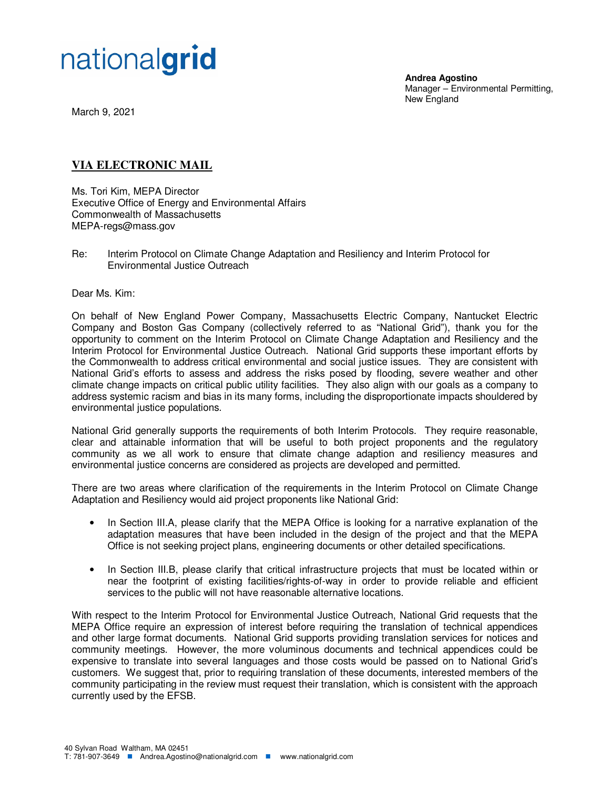

March 9, 2021

## **VIA ELECTRONIC MAIL**

nationalgrid

Ms. Tori Kim, MEPA Director Executive Office of Energy and Environmental Affairs Commonwealth of Massachusetts MEPA-regs@mass.gov

Re: Interim Protocol on Climate Change Adaptation and Resiliency and Interim Protocol for Environmental Justice Outreach

Dear Ms. Kim:

On behalf of New England Power Company, Massachusetts Electric Company, Nantucket Electric Company and Boston Gas Company (collectively referred to as "National Grid"), thank you for the opportunity to comment on the Interim Protocol on Climate Change Adaptation and Resiliency and the Interim Protocol for Environmental Justice Outreach. National Grid supports these important efforts by the Commonwealth to address critical environmental and social justice issues. They are consistent with National Grid's efforts to assess and address the risks posed by flooding, severe weather and other climate change impacts on critical public utility facilities. They also align with our goals as a company to address systemic racism and bias in its many forms, including the disproportionate impacts shouldered by environmental justice populations.

National Grid generally supports the requirements of both Interim Protocols. They require reasonable, clear and attainable information that will be useful to both project proponents and the regulatory community as we all work to ensure that climate change adaption and resiliency measures and environmental justice concerns are considered as projects are developed and permitted.

There are two areas where clarification of the requirements in the Interim Protocol on Climate Change Adaptation and Resiliency would aid project proponents like National Grid:

- In Section III.A, please clarify that the MEPA Office is looking for a narrative explanation of the adaptation measures that have been included in the design of the project and that the MEPA Office is not seeking project plans, engineering documents or other detailed specifications.
- In Section III.B, please clarify that critical infrastructure projects that must be located within or near the footprint of existing facilities/rights-of-way in order to provide reliable and efficient services to the public will not have reasonable alternative locations.

With respect to the Interim Protocol for Environmental Justice Outreach, National Grid requests that the MEPA Office require an expression of interest before requiring the translation of technical appendices and other large format documents. National Grid supports providing translation services for notices and community meetings. However, the more voluminous documents and technical appendices could be expensive to translate into several languages and those costs would be passed on to National Grid's customers. We suggest that, prior to requiring translation of these documents, interested members of the community participating in the review must request their translation, which is consistent with the approach currently used by the EFSB.